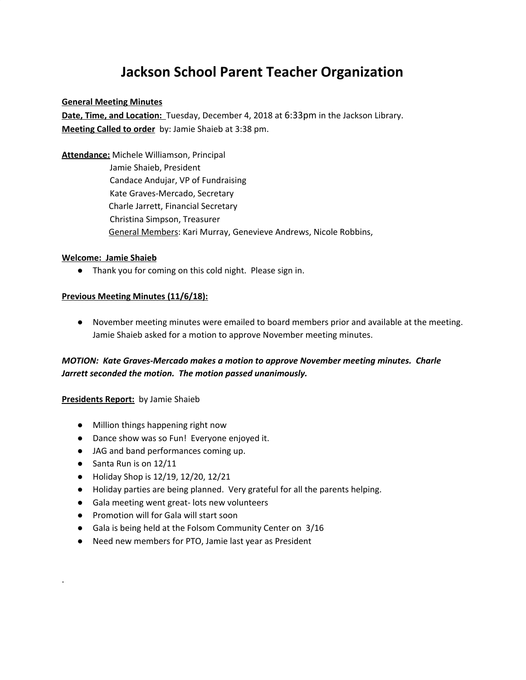# **Jackson School Parent Teacher Organization**

#### **General Meeting Minutes**

**Date, Time, and Location:** Tuesday, December 4, 2018 at 6:33pm in the Jackson Library. **Meeting Called to order** by: Jamie Shaieb at 3:38 pm.

**Attendance:** Michele Williamson, Principal Jamie Shaieb, President Candace Andujar, VP of Fundraising Kate Graves-Mercado, Secretary Charle Jarrett, Financial Secretary Christina Simpson, Treasurer General Members: Kari Murray, Genevieve Andrews, Nicole Robbins,

#### **Welcome: Jamie Shaieb**

● Thank you for coming on this cold night. Please sign in.

### **Previous Meeting Minutes (11/6/18):**

● November meeting minutes were emailed to board members prior and available at the meeting. Jamie Shaieb asked for a motion to approve November meeting minutes.

# *MOTION: Kate Graves-Mercado makes a motion to approve November meeting minutes. Charle Jarrett seconded the motion. The motion passed unanimously.*

#### **Presidents Report:** by Jamie Shaieb

- Million things happening right now
- Dance show was so Fun! Everyone enjoyed it.
- JAG and band performances coming up.
- Santa Run is on 12/11

.

- Holiday Shop is 12/19, 12/20, 12/21
- Holiday parties are being planned. Very grateful for all the parents helping.
- Gala meeting went great- lots new volunteers
- Promotion will for Gala will start soon
- Gala is being held at the Folsom Community Center on 3/16
- Need new members for PTO, Jamie last year as President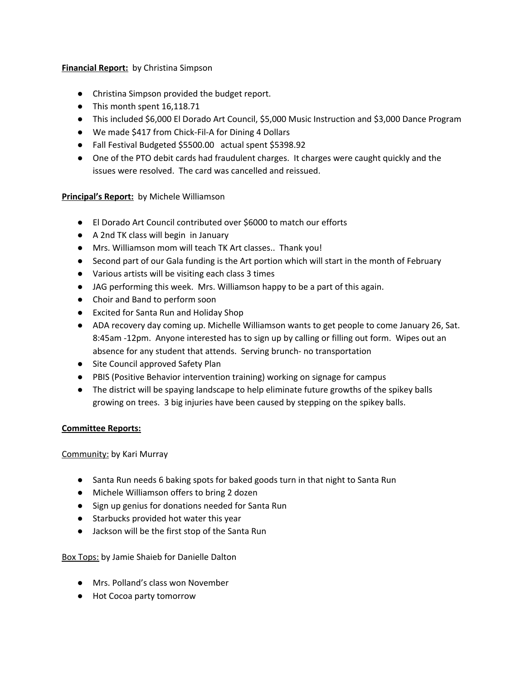# **Financial Report:** by Christina Simpson

- Christina Simpson provided the budget report.
- This month spent 16,118.71
- This included \$6,000 El Dorado Art Council, \$5,000 Music Instruction and \$3,000 Dance Program
- We made \$417 from Chick-Fil-A for Dining 4 Dollars
- Fall Festival Budgeted \$5500.00 actual spent \$5398.92
- One of the PTO debit cards had fraudulent charges. It charges were caught quickly and the issues were resolved. The card was cancelled and reissued.

# **Principal's Report:** by Michele Williamson

- El Dorado Art Council contributed over \$6000 to match our efforts
- A 2nd TK class will begin in January
- Mrs. Williamson mom will teach TK Art classes.. Thank you!
- Second part of our Gala funding is the Art portion which will start in the month of February
- Various artists will be visiting each class 3 times
- JAG performing this week. Mrs. Williamson happy to be a part of this again.
- Choir and Band to perform soon
- Excited for Santa Run and Holiday Shop
- ADA recovery day coming up. Michelle Williamson wants to get people to come January 26, Sat. 8:45am -12pm. Anyone interested has to sign up by calling or filling out form. Wipes out an absence for any student that attends. Serving brunch- no transportation
- Site Council approved Safety Plan
- PBIS (Positive Behavior intervention training) working on signage for campus
- The district will be spaying landscape to help eliminate future growths of the spikey balls growing on trees. 3 big injuries have been caused by stepping on the spikey balls.

### **Committee Reports:**

### Community: by Kari Murray

- Santa Run needs 6 baking spots for baked goods turn in that night to Santa Run
- Michele Williamson offers to bring 2 dozen
- Sign up genius for donations needed for Santa Run
- Starbucks provided hot water this year
- Jackson will be the first stop of the Santa Run

Box Tops: by Jamie Shaieb for Danielle Dalton

- Mrs. Polland's class won November
- Hot Cocoa party tomorrow